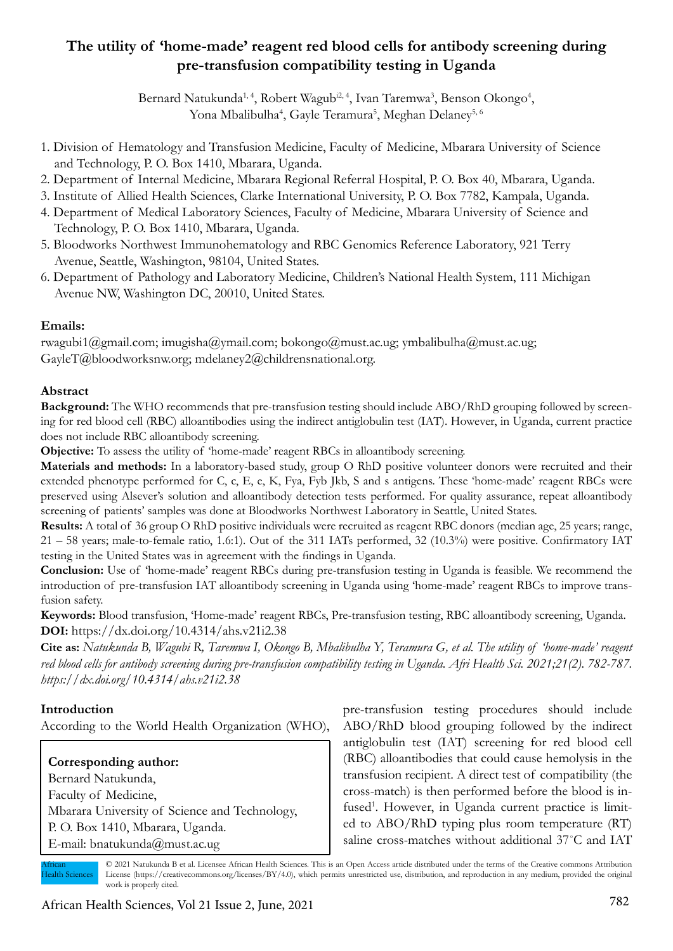# **The utility of 'home-made' reagent red blood cells for antibody screening during pre-transfusion compatibility testing in Uganda**

Bernard Natukunda<sup>1, 4</sup>, Robert Wagub<sup>12, 4</sup>, Ivan Taremwa<sup>3</sup>, Benson Okongo<sup>4</sup>, Yona Mbalibulha<sup>4</sup>, Gayle Teramura<sup>5</sup>, Meghan Delaney<sup>5, 6</sup>

- 1. Division of Hematology and Transfusion Medicine, Faculty of Medicine, Mbarara University of Science and Technology, P. O. Box 1410, Mbarara, Uganda.
- 2. Department of Internal Medicine, Mbarara Regional Referral Hospital, P. O. Box 40, Mbarara, Uganda.
- 3. Institute of Allied Health Sciences, Clarke International University, P. O. Box 7782, Kampala, Uganda.
- 4. Department of Medical Laboratory Sciences, Faculty of Medicine, Mbarara University of Science and Technology, P. O. Box 1410, Mbarara, Uganda.
- 5. Bloodworks Northwest Immunohematology and RBC Genomics Reference Laboratory, 921 Terry Avenue, Seattle, Washington, 98104, United States.
- 6. Department of Pathology and Laboratory Medicine, Children's National Health System, 111 Michigan Avenue NW, Washington DC, 20010, United States.

### **Emails:**

rwagubi1@gmail.com; imugisha@ymail.com; bokongo@must.ac.ug; ymbalibulha@must.ac.ug; GayleT@bloodworksnw.org; mdelaney2@childrensnational.org.

#### **Abstract**

**Background:** The WHO recommends that pre-transfusion testing should include ABO/RhD grouping followed by screening for red blood cell (RBC) alloantibodies using the indirect antiglobulin test (IAT). However, in Uganda, current practice does not include RBC alloantibody screening.

**Objective:** To assess the utility of 'home-made' reagent RBCs in alloantibody screening.

**Materials and methods:** In a laboratory-based study, group O RhD positive volunteer donors were recruited and their extended phenotype performed for C, c, E, e, K, Fya, Fyb Jkb, S and s antigens. These 'home-made' reagent RBCs were preserved using Alsever's solution and alloantibody detection tests performed. For quality assurance, repeat alloantibody screening of patients' samples was done at Bloodworks Northwest Laboratory in Seattle, United States.

**Results:** A total of 36 group O RhD positive individuals were recruited as reagent RBC donors (median age, 25 years; range, 21 – 58 years; male-to-female ratio, 1.6:1). Out of the 311 IATs performed, 32 (10.3%) were positive. Confirmatory IAT testing in the United States was in agreement with the findings in Uganda.

**Conclusion:** Use of 'home-made' reagent RBCs during pre-transfusion testing in Uganda is feasible. We recommend the introduction of pre-transfusion IAT alloantibody screening in Uganda using 'home-made' reagent RBCs to improve transfusion safety.

**Keywords:** Blood transfusion, 'Home-made' reagent RBCs, Pre-transfusion testing, RBC alloantibody screening, Uganda. **DOI:** https://dx.doi.org/10.4314/ahs.v21i2.38

**Cite as:** *Natukunda B, Wagubi R, Taremwa I, Okongo B, Mbalibulha Y, Teramura G, et al. The utility of 'home-made' reagent red blood cells for antibody screening during pre-transfusion compatibility testing in Uganda. Afri Health Sci. 2021;21(2). 782-787. https://dx.doi.org/10.4314/ahs.v21i2.38*

## **Introduction**

According to the World Health Organization (WHO),

**Corresponding author:**  Bernard Natukunda, Faculty of Medicine, Mbarara University of Science and Technology, P. O. Box 1410, Mbarara, Uganda. E-mail: bnatukunda@must.ac.ug

pre-transfusion testing procedures should include ABO/RhD blood grouping followed by the indirect antiglobulin test (IAT) screening for red blood cell (RBC) alloantibodies that could cause hemolysis in the transfusion recipient. A direct test of compatibility (the cross-match) is then performed before the blood is infused<sup>1</sup>. However, in Uganda current practice is limited to ABO/RhD typing plus room temperature (RT) saline cross-matches without additional 37˚C and IAT

<sup>© 2021</sup> Natukunda B et al. Licensee African Health Sciences. This is an Open Access article distributed under the terms of the Creative commons Attribution License (https://creativecommons.org/licenses/BY/4.0), which permits unrestricted use, distribution, and reproduction in any medium, provided the original work is properly cited. African **Iealth Sciences**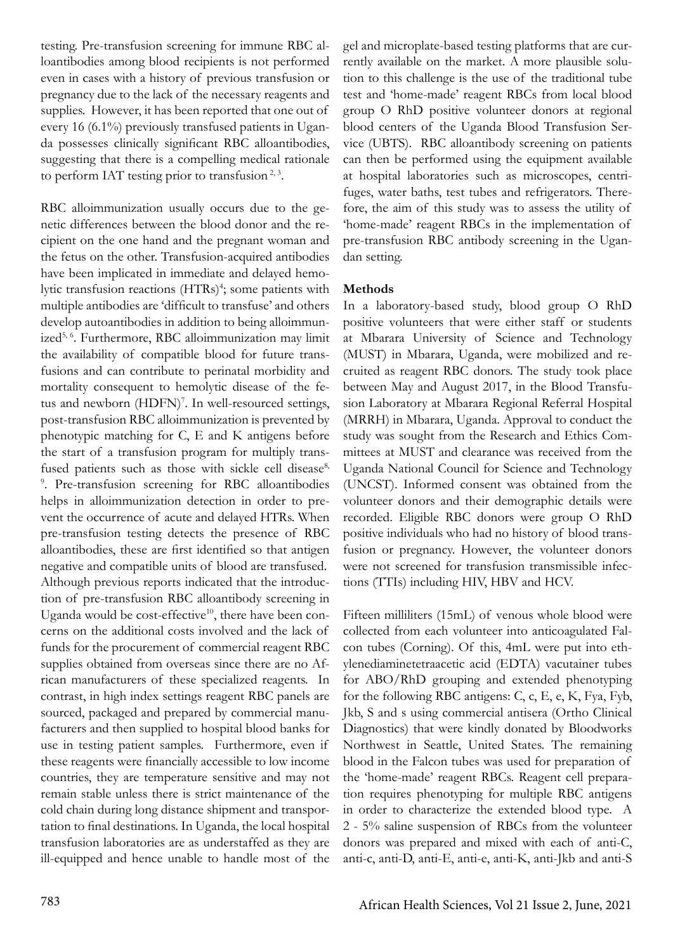testing. Pre-transfusion screening for immune RBC alloantibodies among blood recipients is not performed even in cases with a history of previous transfusion or pregnancy due to the lack of the necessary reagents and supplies. However, it has been reported that one out of every 16 (6.1%) previously transfused patients in Uganda possesses clinically significant RBC alloantibodies, suggesting that there is a compelling medical rationale to perform IAT testing prior to transfusion  $2,3$ .

RBC alloimmunization usually occurs due to the genetic differences between the blood donor and the recipient on the one hand and the pregnant woman and the fetus on the other. Transfusion-acquired antibodies have been implicated in immediate and delayed hemolytic transfusion reactions (HTRs)<sup>4</sup>; some patients with multiple antibodies are 'difficult to transfuse' and others develop autoantibodies in addition to being alloimmunized5, 6. Furthermore, RBC alloimmunization may limit the availability of compatible blood for future transfusions and can contribute to perinatal morbidity and mortality consequent to hemolytic disease of the fetus and newborn (HDFN)<sup>7</sup>. In well-resourced settings, post-transfusion RBC alloimmunization is prevented by phenotypic matching for C, E and K antigens before the start of a transfusion program for multiply transfused patients such as those with sickle cell disease<sup>8,</sup> 9 . Pre-transfusion screening for RBC alloantibodies helps in alloimmunization detection in order to prevent the occurrence of acute and delayed HTRs. When pre-transfusion testing detects the presence of RBC alloantibodies, these are first identified so that antigen negative and compatible units of blood are transfused. Although previous reports indicated that the introduction of pre-transfusion RBC alloantibody screening in Uganda would be cost-effective $10$ , there have been concerns on the additional costs involved and the lack of funds for the procurement of commercial reagent RBC supplies obtained from overseas since there are no African manufacturers of these specialized reagents. In contrast, in high index settings reagent RBC panels are sourced, packaged and prepared by commercial manufacturers and then supplied to hospital blood banks for use in testing patient samples. Furthermore, even if these reagents were financially accessible to low income countries, they are temperature sensitive and may not remain stable unless there is strict maintenance of the cold chain during long distance shipment and transportation to final destinations. In Uganda, the local hospital transfusion laboratories are as understaffed as they are ill-equipped and hence unable to handle most of the

gel and microplate-based testing platforms that are currently available on the market. A more plausible solution to this challenge is the use of the traditional tube test and 'home-made' reagent RBCs from local blood group O RhD positive volunteer donors at regional blood centers of the Uganda Blood Transfusion Service (UBTS). RBC alloantibody screening on patients can then be performed using the equipment available at hospital laboratories such as microscopes, centrifuges, water baths, test tubes and refrigerators. Therefore, the aim of this study was to assess the utility of 'home-made' reagent RBCs in the implementation of pre-transfusion RBC antibody screening in the Ugandan setting.

### **Methods**

In a laboratory-based study, blood group O RhD positive volunteers that were either staff or students at Mbarara University of Science and Technology (MUST) in Mbarara, Uganda, were mobilized and recruited as reagent RBC donors. The study took place between May and August 2017, in the Blood Transfusion Laboratory at Mbarara Regional Referral Hospital (MRRH) in Mbarara, Uganda. Approval to conduct the study was sought from the Research and Ethics Committees at MUST and clearance was received from the Uganda National Council for Science and Technology (UNCST). Informed consent was obtained from the volunteer donors and their demographic details were recorded. Eligible RBC donors were group O RhD positive individuals who had no history of blood transfusion or pregnancy. However, the volunteer donors were not screened for transfusion transmissible infections (TTIs) including HIV, HBV and HCV.

Fifteen milliliters (15mL) of venous whole blood were collected from each volunteer into anticoagulated Falcon tubes (Corning). Of this, 4mL were put into ethylenediaminetetraacetic acid (EDTA) vacutainer tubes for ABO/RhD grouping and extended phenotyping for the following RBC antigens: C, c, E, e, K, Fya, Fyb, Jkb, S and s using commercial antisera (Ortho Clinical Diagnostics) that were kindly donated by Bloodworks Northwest in Seattle, United States. The remaining blood in the Falcon tubes was used for preparation of the 'home-made' reagent RBCs. Reagent cell preparation requires phenotyping for multiple RBC antigens in order to characterize the extended blood type. A 2 - 5% saline suspension of RBCs from the volunteer donors was prepared and mixed with each of anti-C, anti-c, anti-D, anti-E, anti-e, anti-K, anti-Jkb and anti-S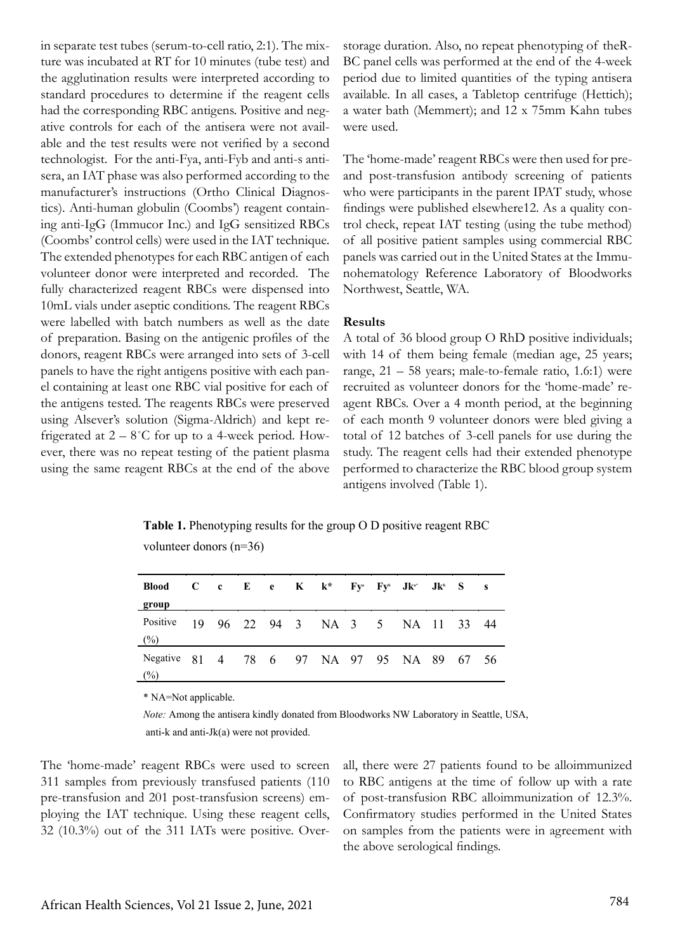in separate test tubes (serum-to-cell ratio, 2:1). The mixture was incubated at RT for 10 minutes (tube test) and the agglutination results were interpreted according to standard procedures to determine if the reagent cells had the corresponding RBC antigens. Positive and negative controls for each of the antisera were not available and the test results were not verified by a second technologist. For the anti-Fya, anti-Fyb and anti-s antisera, an IAT phase was also performed according to the manufacturer's instructions (Ortho Clinical Diagnostics). Anti-human globulin (Coombs') reagent containing anti-IgG (Immucor Inc.) and IgG sensitized RBCs (Coombs' control cells) were used in the IAT technique. The extended phenotypes for each RBC antigen of each volunteer donor were interpreted and recorded. The fully characterized reagent RBCs were dispensed into 10mL vials under aseptic conditions. The reagent RBCs were labelled with batch numbers as well as the date of preparation. Basing on the antigenic profiles of the donors, reagent RBCs were arranged into sets of 3-cell panels to have the right antigens positive with each panel containing at least one RBC vial positive for each of the antigens tested. The reagents RBCs were preserved using Alsever's solution (Sigma-Aldrich) and kept refrigerated at  $2 - 8$ °C for up to a 4-week period. However, there was no repeat testing of the patient plasma using the same reagent RBCs at the end of the above

storage duration. Also, no repeat phenotyping of theR-BC panel cells was performed at the end of the 4-week period due to limited quantities of the typing antisera available. In all cases, a Tabletop centrifuge (Hettich); a water bath (Memmert); and 12 x 75mm Kahn tubes were used.

The 'home-made' reagent RBCs were then used for preand post-transfusion antibody screening of patients who were participants in the parent IPAT study, whose findings were published elsewhere12. As a quality control check, repeat IAT testing (using the tube method) of all positive patient samples using commercial RBC panels was carried out in the United States at the Immunohematology Reference Laboratory of Bloodworks Northwest, Seattle, WA.

#### **Results**

A total of 36 blood group O RhD positive individuals; with 14 of them being female (median age, 25 years; range, 21 – 58 years; male-to-female ratio, 1.6:1) were recruited as volunteer donors for the 'home-made' reagent RBCs. Over a 4 month period, at the beginning of each month 9 volunteer donors were bled giving a total of 12 batches of 3-cell panels for use during the study. The reagent cells had their extended phenotype performed to characterize the RBC blood group system antigens involved (Table 1).

**Table 1.** Phenotyping results for the group O D positive reagent RBC volunteer donors (n=36)

| <b>Blood</b> C c E e K k <sup>*</sup> Fy <sup>3</sup> Fy <sup>5</sup> Jk <sup>3</sup> <sup>*</sup> Jk <sup>3</sup> S s<br>group |  |  |  |  |  |  |
|---------------------------------------------------------------------------------------------------------------------------------|--|--|--|--|--|--|
| Positive 19 96 22 94 3 NA 3 5 NA 11 33 44<br>$\frac{\binom{0}{0}}{0}$                                                           |  |  |  |  |  |  |
| Negative 81 4 78 6 97 NA 97 95 NA 89 67 56<br>$(\%)$                                                                            |  |  |  |  |  |  |

\* NA=Not applicable.

*Note:* Among the antisera kindly donated from Bloodworks NW Laboratory in Seattle, USA, anti-k and anti-Jk(a) were not provided.

The 'home-made' reagent RBCs were used to screen 311 samples from previously transfused patients (110 pre-transfusion and 201 post-transfusion screens) employing the IAT technique. Using these reagent cells, 32 (10.3%) out of the 311 IATs were positive. Overall, there were 27 patients found to be alloimmunized to RBC antigens at the time of follow up with a rate of post-transfusion RBC alloimmunization of 12.3%. Confirmatory studies performed in the United States on samples from the patients were in agreement with the above serological findings.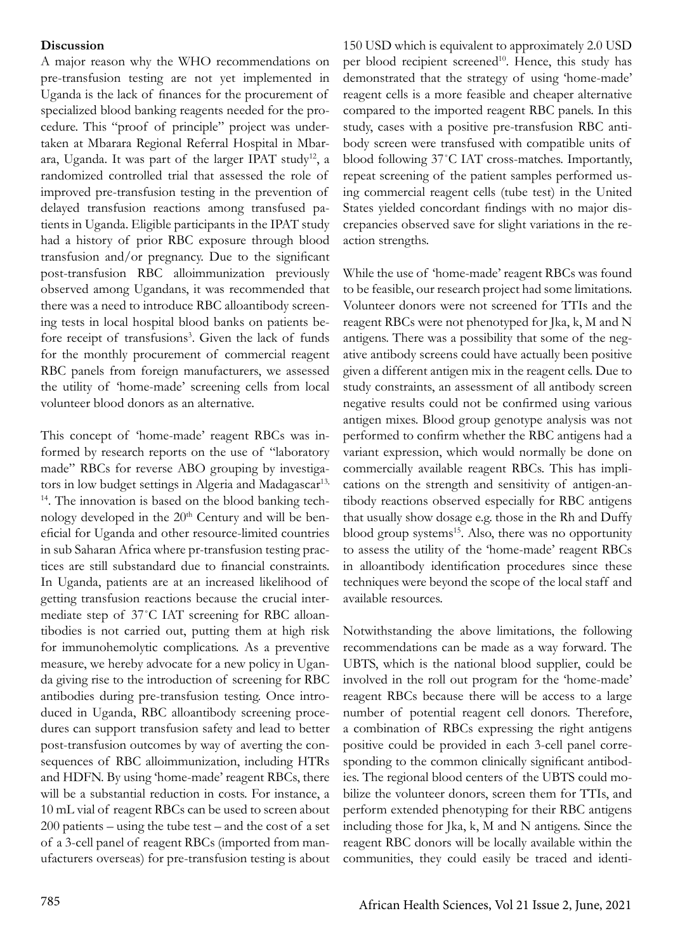#### **Discussion**

A major reason why the WHO recommendations on pre-transfusion testing are not yet implemented in Uganda is the lack of finances for the procurement of specialized blood banking reagents needed for the procedure. This "proof of principle" project was undertaken at Mbarara Regional Referral Hospital in Mbarara, Uganda. It was part of the larger IPAT study<sup>12</sup>, a randomized controlled trial that assessed the role of improved pre-transfusion testing in the prevention of delayed transfusion reactions among transfused patients in Uganda. Eligible participants in the IPAT study had a history of prior RBC exposure through blood transfusion and/or pregnancy. Due to the significant post-transfusion RBC alloimmunization previously observed among Ugandans, it was recommended that there was a need to introduce RBC alloantibody screening tests in local hospital blood banks on patients before receipt of transfusions<sup>3</sup>. Given the lack of funds for the monthly procurement of commercial reagent RBC panels from foreign manufacturers, we assessed the utility of 'home-made' screening cells from local volunteer blood donors as an alternative.

This concept of 'home-made' reagent RBCs was informed by research reports on the use of "laboratory made" RBCs for reverse ABO grouping by investigators in low budget settings in Algeria and Madagascar<sup>13,</sup> <sup>14</sup>. The innovation is based on the blood banking technology developed in the 20<sup>th</sup> Century and will be beneficial for Uganda and other resource-limited countries in sub Saharan Africa where pr-transfusion testing practices are still substandard due to financial constraints. In Uganda, patients are at an increased likelihood of getting transfusion reactions because the crucial intermediate step of 37˚C IAT screening for RBC alloantibodies is not carried out, putting them at high risk for immunohemolytic complications. As a preventive measure, we hereby advocate for a new policy in Uganda giving rise to the introduction of screening for RBC antibodies during pre-transfusion testing. Once introduced in Uganda, RBC alloantibody screening procedures can support transfusion safety and lead to better post-transfusion outcomes by way of averting the consequences of RBC alloimmunization, including HTRs and HDFN. By using 'home-made' reagent RBCs, there will be a substantial reduction in costs. For instance, a 10 mL vial of reagent RBCs can be used to screen about 200 patients – using the tube test – and the cost of a set of a 3-cell panel of reagent RBCs (imported from manufacturers overseas) for pre-transfusion testing is about

150 USD which is equivalent to approximately 2.0 USD per blood recipient screened<sup>10</sup>. Hence, this study has demonstrated that the strategy of using 'home-made' reagent cells is a more feasible and cheaper alternative compared to the imported reagent RBC panels. In this study, cases with a positive pre-transfusion RBC antibody screen were transfused with compatible units of blood following 37˚C IAT cross-matches. Importantly, repeat screening of the patient samples performed using commercial reagent cells (tube test) in the United States yielded concordant findings with no major discrepancies observed save for slight variations in the reaction strengths.

While the use of 'home-made' reagent RBCs was found to be feasible, our research project had some limitations. Volunteer donors were not screened for TTIs and the reagent RBCs were not phenotyped for Jka, k, M and N antigens. There was a possibility that some of the negative antibody screens could have actually been positive given a different antigen mix in the reagent cells. Due to study constraints, an assessment of all antibody screen negative results could not be confirmed using various antigen mixes. Blood group genotype analysis was not performed to confirm whether the RBC antigens had a variant expression, which would normally be done on commercially available reagent RBCs. This has implications on the strength and sensitivity of antigen-antibody reactions observed especially for RBC antigens that usually show dosage e.g. those in the Rh and Duffy blood group systems $<sup>15</sup>$ . Also, there was no opportunity</sup> to assess the utility of the 'home-made' reagent RBCs in alloantibody identification procedures since these techniques were beyond the scope of the local staff and available resources.

Notwithstanding the above limitations, the following recommendations can be made as a way forward. The UBTS, which is the national blood supplier, could be involved in the roll out program for the 'home-made' reagent RBCs because there will be access to a large number of potential reagent cell donors. Therefore, a combination of RBCs expressing the right antigens positive could be provided in each 3-cell panel corresponding to the common clinically significant antibodies. The regional blood centers of the UBTS could mobilize the volunteer donors, screen them for TTIs, and perform extended phenotyping for their RBC antigens including those for Jka, k, M and N antigens. Since the reagent RBC donors will be locally available within the communities, they could easily be traced and identi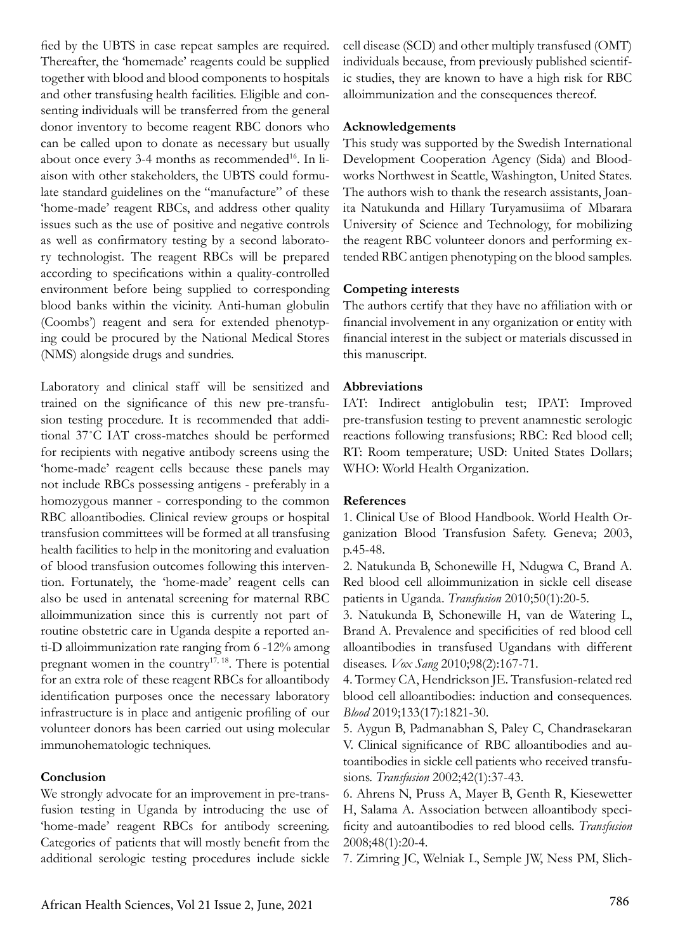fied by the UBTS in case repeat samples are required. Thereafter, the 'homemade' reagents could be supplied together with blood and blood components to hospitals and other transfusing health facilities. Eligible and consenting individuals will be transferred from the general donor inventory to become reagent RBC donors who can be called upon to donate as necessary but usually about once every 3-4 months as recommended<sup>16</sup>. In liaison with other stakeholders, the UBTS could formulate standard guidelines on the "manufacture" of these 'home-made' reagent RBCs, and address other quality issues such as the use of positive and negative controls as well as confirmatory testing by a second laboratory technologist. The reagent RBCs will be prepared according to specifications within a quality-controlled environment before being supplied to corresponding blood banks within the vicinity. Anti-human globulin (Coombs') reagent and sera for extended phenotyping could be procured by the National Medical Stores (NMS) alongside drugs and sundries.

Laboratory and clinical staff will be sensitized and trained on the significance of this new pre-transfusion testing procedure. It is recommended that additional 37˚C IAT cross-matches should be performed for recipients with negative antibody screens using the 'home-made' reagent cells because these panels may not include RBCs possessing antigens - preferably in a homozygous manner - corresponding to the common RBC alloantibodies. Clinical review groups or hospital transfusion committees will be formed at all transfusing health facilities to help in the monitoring and evaluation of blood transfusion outcomes following this intervention. Fortunately, the 'home-made' reagent cells can also be used in antenatal screening for maternal RBC alloimmunization since this is currently not part of routine obstetric care in Uganda despite a reported anti-D alloimmunization rate ranging from 6 -12% among pregnant women in the country<sup>17, 18</sup>. There is potential for an extra role of these reagent RBCs for alloantibody identification purposes once the necessary laboratory infrastructure is in place and antigenic profiling of our volunteer donors has been carried out using molecular immunohematologic techniques.

## **Conclusion**

We strongly advocate for an improvement in pre-transfusion testing in Uganda by introducing the use of 'home-made' reagent RBCs for antibody screening. Categories of patients that will mostly benefit from the additional serologic testing procedures include sickle cell disease (SCD) and other multiply transfused (OMT) individuals because, from previously published scientific studies, they are known to have a high risk for RBC alloimmunization and the consequences thereof.

### **Acknowledgements**

This study was supported by the Swedish International Development Cooperation Agency (Sida) and Bloodworks Northwest in Seattle, Washington, United States. The authors wish to thank the research assistants, Joanita Natukunda and Hillary Turyamusiima of Mbarara University of Science and Technology, for mobilizing the reagent RBC volunteer donors and performing extended RBC antigen phenotyping on the blood samples.

### **Competing interests**

The authors certify that they have no affiliation with or financial involvement in any organization or entity with financial interest in the subject or materials discussed in this manuscript.

### **Abbreviations**

IAT: Indirect antiglobulin test; IPAT: Improved pre-transfusion testing to prevent anamnestic serologic reactions following transfusions; RBC: Red blood cell; RT: Room temperature; USD: United States Dollars; WHO: World Health Organization.

#### **References**

1. Clinical Use of Blood Handbook. World Health Organization Blood Transfusion Safety. Geneva; 2003, p.45-48.

2. Natukunda B, Schonewille H, Ndugwa C, Brand A. Red blood cell alloimmunization in sickle cell disease patients in Uganda. *Transfusion* 2010;50(1):20-5.

3. Natukunda B, Schonewille H, van de Watering L, Brand A. Prevalence and specificities of red blood cell alloantibodies in transfused Ugandans with different diseases. *Vox Sang* 2010;98(2):167-71.

4. Tormey CA, Hendrickson JE. Transfusion-related red blood cell alloantibodies: induction and consequences. *Blood* 2019;133(17):1821-30.

5. Aygun B, Padmanabhan S, Paley C, Chandrasekaran V. Clinical significance of RBC alloantibodies and autoantibodies in sickle cell patients who received transfusions. *Transfusion* 2002;42(1):37-43.

6. Ahrens N, Pruss A, Mayer B, Genth R, Kiesewetter H, Salama A. Association between alloantibody specificity and autoantibodies to red blood cells. *Transfusion* 2008;48(1):20-4.

7. Zimring JC, Welniak L, Semple JW, Ness PM, Slich-